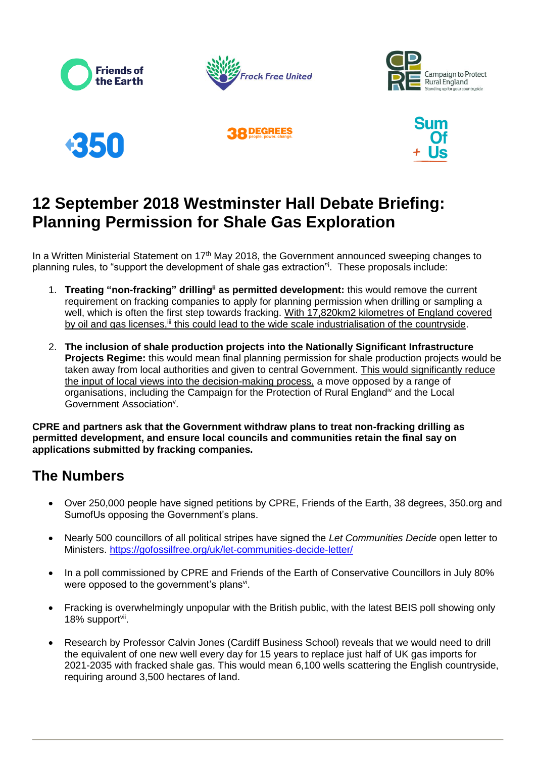









# **12 September 2018 Westminster Hall Debate Briefing: Planning Permission for Shale Gas Exploration**

In a Written Ministerial Statement on 17<sup>th</sup> May 2018, the Government announced sweeping changes to planning rules, to "support the development of shale gas extraction"<sup>i</sup> . These proposals include:

- 1. **Treating "non-fracking" drillingii as permitted development:** this would remove the current requirement on fracking companies to apply for planning permission when drilling or sampling a well, which is often the first step towards fracking. With 17,820km2 kilometres of England covered by oil and gas licenses,<sup>iii</sup> this could lead to the wide scale industrialisation of the countryside.
- 2. **The inclusion of shale production projects into the Nationally Significant Infrastructure Projects Regime:** this would mean final planning permission for shale production projects would be taken away from local authorities and given to central Government. This would significantly reduce the input of local views into the decision-making process, a move opposed by a range of organisations, including the Campaign for the Protection of Rural Englandiv and the Local Government Association<sup>v</sup>.

**CPRE and partners ask that the Government withdraw plans to treat non-fracking drilling as permitted development, and ensure local councils and communities retain the final say on applications submitted by fracking companies.**

## **The Numbers**

- Over 250,000 people have signed petitions by CPRE, Friends of the Earth, 38 degrees, 350.org and SumofUs opposing the Government's plans.
- Nearly 500 councillors of all political stripes have signed the *Let Communities Decide* open letter to Ministers.<https://gofossilfree.org/uk/let-communities-decide-letter/>
- In a poll commissioned by CPRE and Friends of the Earth of Conservative Councillors in July 80% were opposed to the government's plans<sup>vi</sup>.
- Fracking is overwhelmingly unpopular with the British public, with the latest BEIS poll showing only 18% support<sup>vii</sup>.
- Research by Professor Calvin Jones (Cardiff Business School) reveals that we would need to drill the equivalent of one new well every day for 15 years to replace just half of UK gas imports for 2021-2035 with fracked shale gas. This would mean 6,100 wells scattering the English countryside, requiring around 3,500 hectares of land.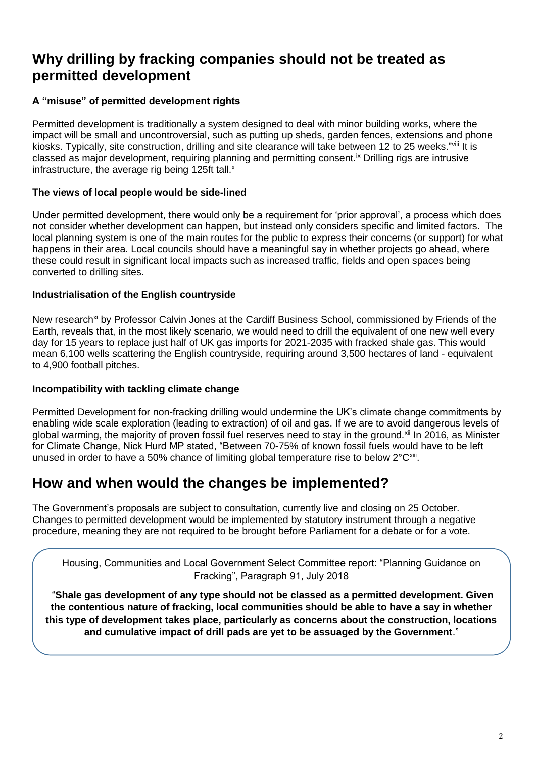## **Why drilling by fracking companies should not be treated as permitted development**

### **A "misuse" of permitted development rights**

Permitted development is traditionally a system designed to deal with minor building works, where the impact will be small and uncontroversial, such as putting up sheds, garden fences, extensions and phone kiosks. Typically, site construction, drilling and site clearance will take between 12 to 25 weeks."vill It is classed as major development, requiring planning and permitting consent.<sup>ix</sup> Drilling rigs are intrusive infrastructure, the average rig being  $125$ ft tall. $x$ 

### **The views of local people would be side-lined**

Under permitted development, there would only be a requirement for 'prior approval', a process which does not consider whether development can happen, but instead only considers specific and limited factors. The local planning system is one of the main routes for the public to express their concerns (or support) for what happens in their area. Local councils should have a meaningful say in whether projects go ahead, where these could result in significant local impacts such as increased traffic, fields and open spaces being converted to drilling sites.

#### **Industrialisation of the English countryside**

New research<sup>xi</sup> by Professor Calvin Jones at the Cardiff Business School, commissioned by Friends of the Earth, reveals that, in the most likely scenario, we would need to drill the equivalent of one new well every day for 15 years to replace just half of UK gas imports for 2021-2035 with fracked shale gas. This would mean 6,100 wells scattering the English countryside, requiring around 3,500 hectares of land - equivalent to 4,900 football pitches.

#### **Incompatibility with tackling climate change**

Permitted Development for non-fracking drilling would undermine the UK's climate change commitments by enabling wide scale exploration (leading to extraction) of oil and gas. If we are to avoid dangerous levels of global warming, the majority of proven fossil fuel reserves need to stay in the ground.<sup>xii</sup> In 2016, as Minister for Climate Change, Nick Hurd MP stated, "Between 70-75% of known fossil fuels would have to be left unused in order to have a 50% chance of limiting global temperature rise to below  $2^{\circ}C^{\text{xiii}}$ .

### **How and when would the changes be implemented?**

The Government's proposals are subject to consultation, currently live and closing on 25 October. Changes to permitted development would be implemented by statutory instrument through a negative procedure, meaning they are not required to be brought before Parliament for a debate or for a vote.

Housing, Communities and Local Government Select Committee report: "Planning Guidance on Fracking", Paragraph 91, July 2018

"**Shale gas development of any type should not be classed as a permitted development. Given the contentious nature of fracking, local communities should be able to have a say in whether this type of development takes place, particularly as concerns about the construction, locations and cumulative impact of drill pads are yet to be assuaged by the Government**."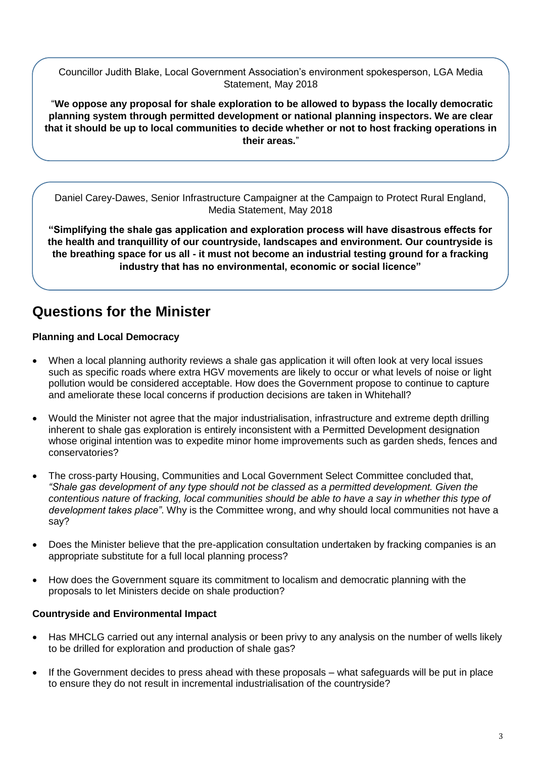Councillor Judith Blake, Local Government Association's environment spokesperson, LGA Media Statement, May 2018

"**We oppose any proposal for shale exploration to be allowed to bypass the locally democratic planning system through permitted development or national planning inspectors. We are clear that it should be up to local communities to decide whether or not to host fracking operations in their areas.**"

Daniel Carey-Dawes, Senior Infrastructure Campaigner at the Campaign to Protect Rural England, Media Statement, May 2018

**"Simplifying the shale gas application and exploration process will have disastrous effects for the health and tranquillity of our countryside, landscapes and environment. Our countryside is the breathing space for us all - it must not become an industrial testing ground for a fracking industry that has no environmental, economic or social licence"**

# **Questions for the Minister**

### **Planning and Local Democracy**

- When a local planning authority reviews a shale gas application it will often look at very local issues such as specific roads where extra HGV movements are likely to occur or what levels of noise or light pollution would be considered acceptable. How does the Government propose to continue to capture and ameliorate these local concerns if production decisions are taken in Whitehall?
- Would the Minister not agree that the major industrialisation, infrastructure and extreme depth drilling inherent to shale gas exploration is entirely inconsistent with a Permitted Development designation whose original intention was to expedite minor home improvements such as garden sheds, fences and conservatories?
- The cross-party Housing, Communities and Local Government Select Committee concluded that, *"Shale gas development of any type should not be classed as a permitted development. Given the contentious nature of fracking, local communities should be able to have a say in whether this type of development takes place"*. Why is the Committee wrong, and why should local communities not have a say?
- Does the Minister believe that the pre-application consultation undertaken by fracking companies is an appropriate substitute for a full local planning process?
- How does the Government square its commitment to localism and democratic planning with the proposals to let Ministers decide on shale production?

#### **Countryside and Environmental Impact**

- Has MHCLG carried out any internal analysis or been privy to any analysis on the number of wells likely to be drilled for exploration and production of shale gas?
- If the Government decides to press ahead with these proposals what safeguards will be put in place to ensure they do not result in incremental industrialisation of the countryside?